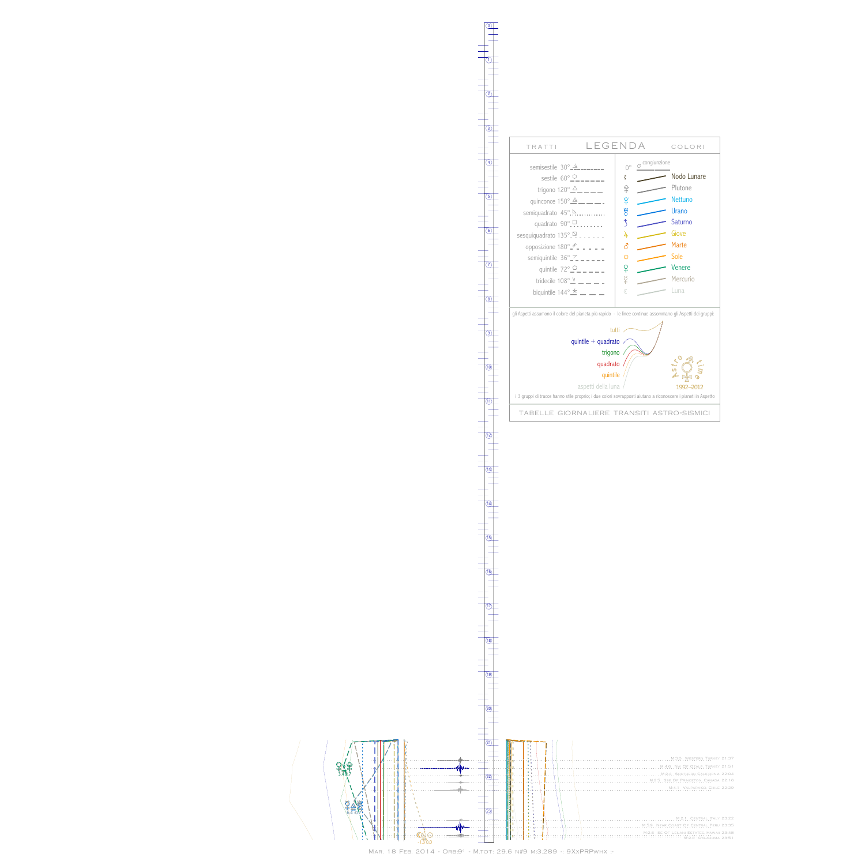